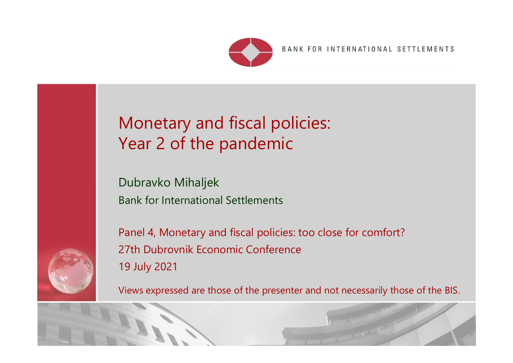

# Monetary and fiscal policies: Year 2 of the pandemic

Dubravko Mihaljek Bank for International Settlements

Panel 4, Monetary and fiscal policies: too close for comfort? 27th Dubrovnik Economic Conference 19 July 2021

Views expressed are those of the presenter and not necessarily those of the BIS.

Restricted

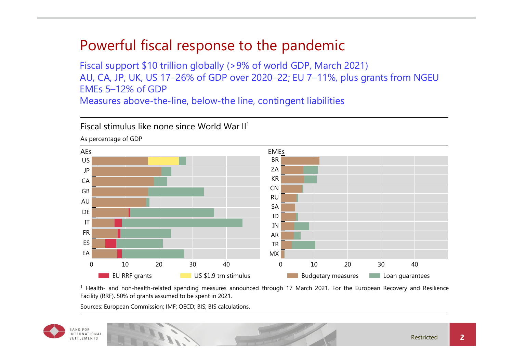# Powerful fiscal response to the pandemic

Fiscal support \$10 trillion globally (>9% of world GDP, March 2021) AU, CA, JP, UK, US 17–26% of GDP over 2020–22; EU 7–11%, plus grants from NGEU EMEs 5–12% of GDP

Measures above-the-line, below-the line, contingent liabilities



 $1$  Health- and non-health-related spending measures announced through 17 March 2021. For the European Recovery and Resilience Facility (RRF), 50% of grants assumed to be spent in 2021.

Sources: European Commission; IMF; OECD; BIS; BIS calculations.

Fiscal stimulus like none since World War II<sup>1</sup>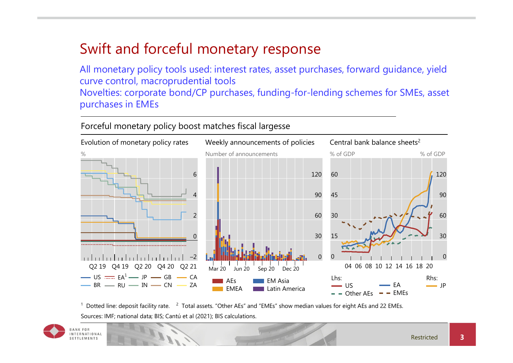# Swift and forceful monetary response

All monetary policy tools used: interest rates, asset purchases, forward guidance, yield curve control, macroprudential tools Novelties: corporate bond/CP purchases, funding-for-lending schemes for SMEs, asset purchases in EMEs

#### Forceful monetary policy boost matches fiscal largesse



 $1$  Dotted line: deposit facility rate.  $2$  Total assets. "Other AEs" and "EMEs" show median values for eight AEs and 22 EMEs. Sources: IMF; national data; BIS; Cantú et al (2021); BIS calculations.

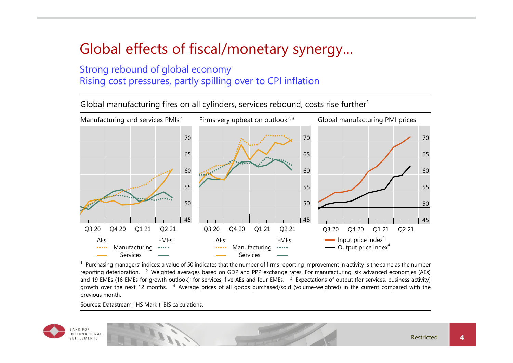# Global effects of fiscal/monetary synergy…

#### Strong rebound of global economy Rising cost pressures, partly spilling over to CPI inflation

Global manufacturing fires on all cylinders, services rebound, costs rise further $1$ 



 $<sup>1</sup>$  Purchasing managers' indices: a value of 50 indicates that the number of firms reporting improvement in activity is the same as the number</sup> reporting deterioration. <sup>2</sup> Weighted averages based on GDP and PPP exchange rates. For manufacturing, six advanced economies (AEs) and 19 EMEs (16 EMEs for growth outlook); for services, five AEs and four EMEs.  $3$  Expectations of output (for services, business activity) growth over the next 12 months. <sup>4</sup> Average prices of all goods purchased/sold (volume-weighted) in the current compared with the previous month.

Sources: Datastream; IHS Markit; BIS calculations.

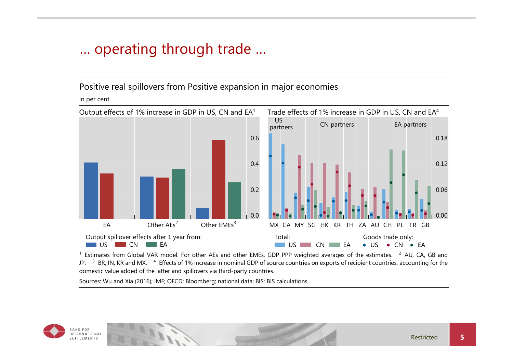# … operating through trade …

Positive real spillovers from Positive expansion in major economies

In per cent



 $1$  Estimates from Global VAR model. For other AEs and other EMEs, GDP PPP weighted averages of the estimates.  $2$  AU, CA, GB and JP. <sup>3</sup> BR, IN, KR and MX. <sup>4</sup> Effects of 1% increase in nominal GDP of source countries on exports of recipient countries, accounting for the domestic value added of the latter and spillovers via third-party countries.

Sources: Wu and Xia (2016); IMF; OECD; Bloomberg; national data; BIS; BIS calculations.

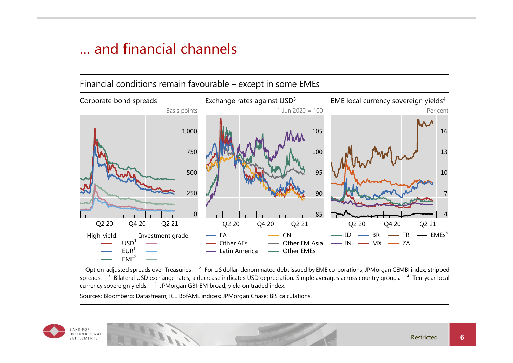### … and financial channels



 $^1$  Option-adjusted spreads over Treasuries.  $^{-2}$  For US dollar-denominated debt issued by EME corporations; JPMorgan CEMBI index, stripped spreads. <sup>3</sup> Bilateral USD exchange rates; a decrease indicates USD depreciation. Simple averages across country groups. <sup>4</sup> Ten-year local currency sovereign yields. 5 JPMorgan GBI-EM broad, yield on traded index.

Sources: Bloomberg; Datastream; ICE BofAML indices; JPMorgan Chase; BIS calculations.

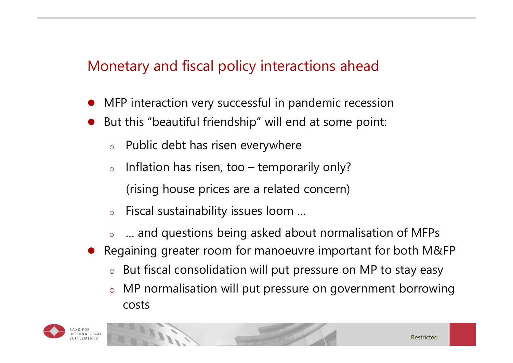# Monetary and fiscal policy interactions ahead

- 0 MFP interaction very successful in pandemic recession
- $\bullet$  But this "beautiful friendship" will end at some point:
	- oPublic debt has risen everywhere
	- o Inflation has risen, too – temporarily only? (rising house prices are a related concern)
	- oFiscal sustainability issues loom …
	- o… and questions being asked about normalisation of MFPs
- Regaining greater room for manoeuvre important for both M&FP
	- oBut fiscal consolidation will put pressure on MP to stay easy
	- o MP normalisation will put pressure on government borrowing costs

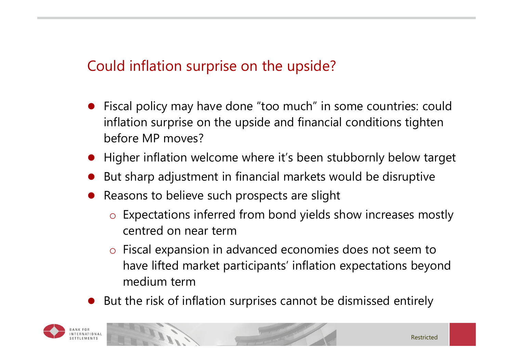# Could inflation surprise on the upside?

- 0 Fiscal policy may have done "too much" in some countries: could inflation surprise on the upside and financial conditions tighten before MP moves?
- Higher inflation welcome where it's been stubbornly below target
- $\bullet$ But sharp adjustment in financial markets would be disruptive
- Reasons to believe such prospects are slight
	- $\circ$  Expectations inferred from bond yields show increases mostly centred on near term
	- $\circ$  Fiscal expansion in advanced economies does not seem to have lifted market participants' inflation expectations beyond medium term
- $\bullet$ But the risk of inflation surprises cannot be dismissed entirely

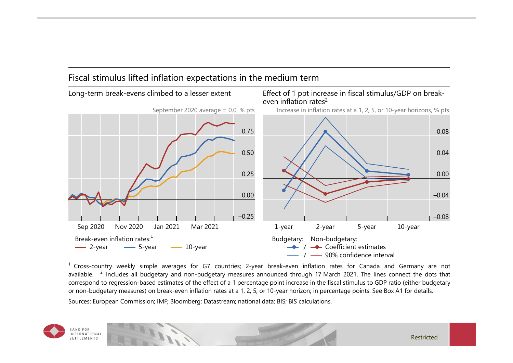#### Fiscal stimulus lifted inflation expectations in the medium term



 $1$  Cross-country weekly simple averages for G7 countries; 2-year break-even inflation rates for Canada and Germany are not available. <sup>2</sup> Includes all budgetary and non-budgetary measures announced through 17 March 2021. The lines connect the dots that correspond to regression-based estimates of the effect of a 1 percentage point increase in the fiscal stimulus to GDP ratio (either budgetary or non-budgetary measures) on break-even inflation rates at a 1, 2, 5, or 10-year horizon; in percentage points. See Box A1 for details.

Sources: European Commission; IMF; Bloomberg; Datastream; national data; BIS; BIS calculations.

**BANKFOR INTERNATIONAL** SETTLEMENTS

Restricted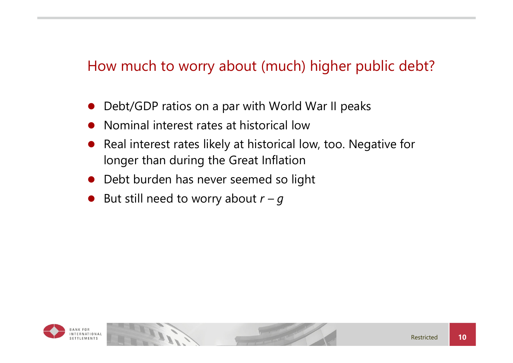# How much to worry about (much) higher public debt?

- 0 Debt/GDP ratios on a par with World War II peaks
- $\bullet$ Nominal interest rates at historical low
- $\bullet$  Real interest rates likely at historical low, too. Negative for longer than during the Great Inflation
- **•** Debt burden has never seemed so light
- $\bullet$ But still need to worry about  $r - g$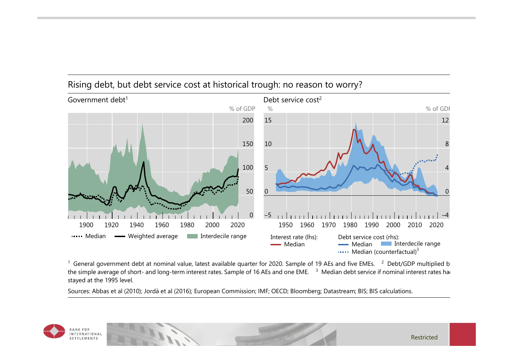

### Rising debt, but debt service cost at historical trough: no reason to worry?

<sup>1</sup> General government debt at nominal value, latest available quarter for 2020. Sample of 19 AEs and five EMEs. <sup>2</sup> Debt/GDP multiplied b the simple average of short- and long-term interest rates. Sample of 16 AEs and one EME. <sup>3</sup> Median debt service if nominal interest rates had stayed at the 1995 level.

Sources: Abbas et al (2010); Jordà et al (2016); European Commission; IMF; OECD; Bloomberg; Datastream; BIS; BIS calculations.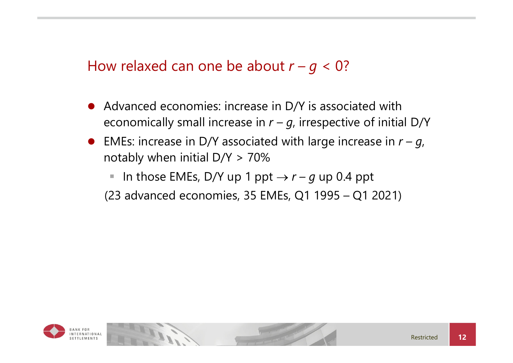### How relaxed can one be about  $r - g < 0$ ?

- 0 Advanced economies: increase in D/Y is associated with economically small increase in  $r - g$ , irrespective of initial D/Y
- **•** EMEs: increase in D/Y associated with large increase in  $r g$ , notably when initial  $D/Y > 70\%$

 $\overline{\phantom{a}}$ In those EMEs, D/Y up 1 ppt  $\rightarrow$   $r-g$  up 0.4 ppt

(23 advanced economies, 35 EMEs, Q1 1995 – Q1 2021)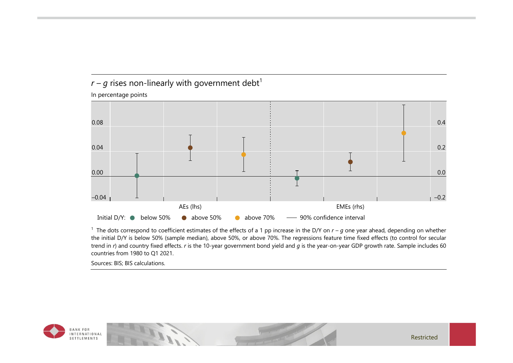### $r - g$  rises non-linearly with government debt<sup>1</sup>

In percentage points



<sup>1</sup> The dots correspond to coefficient estimates of the effects of a 1 pp increase in the D/Y on  $r - g$  one year ahead, depending on whether the initial D/Y is below 50% (sample median), above 50%, or above 70%. The regressions feature time fixed effects (to control for secular trend in *r*) and country fixed effects. *r* is the 10-year government bond yield and *g* is the year-on-year GDP growth rate. Sample includes 60 countries from 1980 to Q1 2021.

Sources: BIS; BIS calculations.



Restricted